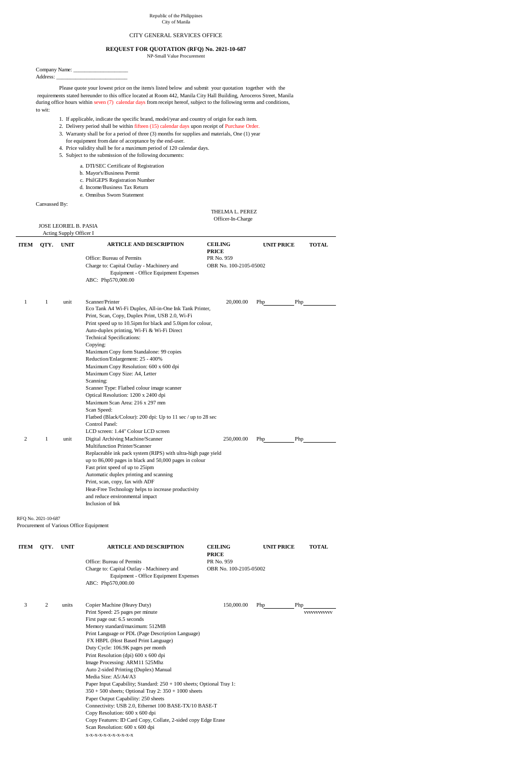Company Name: \_\_\_\_\_\_\_\_\_\_\_\_\_\_\_\_\_\_\_\_ Address: \_\_\_\_\_\_\_\_\_\_\_\_\_\_\_\_\_\_\_\_\_\_\_\_\_\_

Please quote your lowest price on the item/s listed below and submit your quotation together with the requirements stated hereunder to this office located at Room 442, Manila City Hall Building, Arroceros Street, Manila during office hours within seven (7) calendar days from receipt hereof, subject to the following terms and conditions, to wit:

- 1. If applicable, indicate the specific brand, model/year and country of origin for each item.
- 2. Delivery period shall be within fifteen (15) calendar days upon receipt of Purchase Order.
- 3. Warranty shall be for a period of three (3) months for supplies and materials, One (1) year for equipment from date of acceptance by the end-user.
- 4. Price validity shall be for a maximum period of 120 calendar days.
- 5. Subject to the submission of the following documents:
	- a. DTI/SEC Certificate of Registration
	- b. Mayor's/Business Permit
	- c. PhilGEPS Registration Number
	- d. Income/Business Tax Return
	- e. Omnibus Sworn Statement

Canvassed By:

 THELMA L. PEREZ Officer-In-Charge

## JOSE LEORIEL B. PASIA

Acting Supply Officer I

| <b>ITEM</b> | QTY.         | <b>UNIT</b> | <b>ARTICLE AND DESCRIPTION</b>                                                                                                                                                                                                                                                                                                                                                                                                                                                                                                                                                                                                                                                           | <b>CEILING</b><br><b>PRICE</b>       | <b>UNIT PRICE</b> | <b>TOTAL</b> |
|-------------|--------------|-------------|------------------------------------------------------------------------------------------------------------------------------------------------------------------------------------------------------------------------------------------------------------------------------------------------------------------------------------------------------------------------------------------------------------------------------------------------------------------------------------------------------------------------------------------------------------------------------------------------------------------------------------------------------------------------------------------|--------------------------------------|-------------------|--------------|
|             |              |             | Office: Bureau of Permits<br>Charge to: Capital Outlay - Machinery and<br>Equipment - Office Equipment Expenses<br>ABC: Php570,000.00                                                                                                                                                                                                                                                                                                                                                                                                                                                                                                                                                    | PR No. 959<br>OBR No. 100-2105-05002 |                   |              |
| 1           | $\mathbf{1}$ | unit        | Scanner/Printer<br>Eco Tank A4 Wi-Fi Duplex, All-in-One Ink Tank Printer,<br>Print, Scan, Copy, Duplex Print, USB 2.0, Wi-Fi<br>Print speed up to 10.5ipm for black and 5.0ipm for colour,<br>Auto-duplex printing, Wi-Fi & Wi-Fi Direct<br><b>Technical Specifications:</b><br>Copying:<br>Maximum Copy form Standalone: 99 copies<br>Reduction/Enlargement: 25 - 400%<br>Maximum Copy Resolution: 600 x 600 dpi<br>Maximum Copy Size: A4, Letter<br>Scanning:<br>Scanner Type: Flatbed colour image scanner<br>Optical Resolution: 1200 x 2400 dpi<br>Maximum Scan Area: 216 x 297 mm<br>Scan Speed:<br>Flatbed (Black/Colour): 200 dpi: Up to 11 sec / up to 28 sec<br>Control Panel: | 20,000.00                            | Php<br>Php        |              |
| 2           | $\mathbf{1}$ | unit        | LCD screen: 1.44" Colour LCD screen<br>Digital Archiving Machine/Scanner<br><b>Multifunction Printer/Scanner</b><br>Replaceable ink pack system (RIPS) with ultra-high page yield<br>up to 86,000 pages in black and 50,000 pages in colour<br>Fast print speed of up to 25ipm<br>Automatic duplex printing and scanning<br>Print, scan, copy, fax with ADF<br>Heat-Free Technology helps to increase productivity<br>and reduce environmental impact                                                                                                                                                                                                                                    | 250,000.00                           | Php<br>Php        |              |

Inclusion of Ink

RFQ No. 2021-10-687 Procurement of Various Office Equipment

| <b>ITEM</b> | QTY. | <b>UNIT</b> | <b>ARTICLE AND DESCRIPTION</b>                                                                                                        | <b>CEILING</b><br><b>PRICE</b>       | <b>UNIT PRICE</b> | <b>TOTAL</b> |  |  |
|-------------|------|-------------|---------------------------------------------------------------------------------------------------------------------------------------|--------------------------------------|-------------------|--------------|--|--|
|             |      |             | Office: Bureau of Permits<br>Charge to: Capital Outlay - Machinery and<br>Equipment - Office Equipment Expenses<br>ABC: Php570,000.00 | PR No. 959<br>OBR No. 100-2105-05002 |                   |              |  |  |
| 3           | 2    | units       | Copier Machine (Heavy Duty)                                                                                                           | 150,000.00                           | Php<br>Php        |              |  |  |
|             |      |             | Print Speed: 25 pages per minute                                                                                                      |                                      |                   | VVVVVVVVVVV  |  |  |
|             |      |             | First page out: 6.5 seconds                                                                                                           |                                      |                   |              |  |  |
|             |      |             | Memory standard/maximum: 512MB                                                                                                        |                                      |                   |              |  |  |
|             |      |             | Print Language or PDL (Page Description Language)                                                                                     |                                      |                   |              |  |  |
|             |      |             | FX HBPL (Host Based Print Language)                                                                                                   |                                      |                   |              |  |  |
|             |      |             | Duty Cycle: 106.9K pages per month                                                                                                    |                                      |                   |              |  |  |
|             |      |             | Print Resolution (dpi) 600 x 600 dpi                                                                                                  |                                      |                   |              |  |  |
|             |      |             | Image Processing: ARM11 525Mhz                                                                                                        |                                      |                   |              |  |  |
|             |      |             | Auto 2-sided Printing (Duplex) Manual                                                                                                 |                                      |                   |              |  |  |
|             |      |             | Media Size: A5/A4/A3                                                                                                                  |                                      |                   |              |  |  |
|             |      |             | Paper Input Capability; Standard: $250 + 100$ sheets; Optional Tray 1:                                                                |                                      |                   |              |  |  |
|             |      |             | $350 + 500$ sheets; Optional Tray 2: $350 + 1000$ sheets                                                                              |                                      |                   |              |  |  |
|             |      |             | Paper Output Capability: 250 sheets                                                                                                   |                                      |                   |              |  |  |
|             |      |             | Connectivity: USB 2.0, Ethernet 100 BASE-TX/10 BASE-T                                                                                 |                                      |                   |              |  |  |
|             |      |             | Copy Resolution: 600 x 600 dpi<br>Copy Features: ID Card Copy, Collate, 2-sided copy Edge Erase                                       |                                      |                   |              |  |  |
|             |      |             |                                                                                                                                       |                                      |                   |              |  |  |
|             |      |             | Scan Resolution: 600 x 600 dpi                                                                                                        |                                      |                   |              |  |  |

x-x-x-x-x-x-x-x-x-x-x

## Republic of the Philippines City of Manila

## CITY GENERAL SERVICES OFFICE

## **REQUEST FOR QUOTATION (RFQ) No. 2021-10-687**

NP-Small Value Procurement